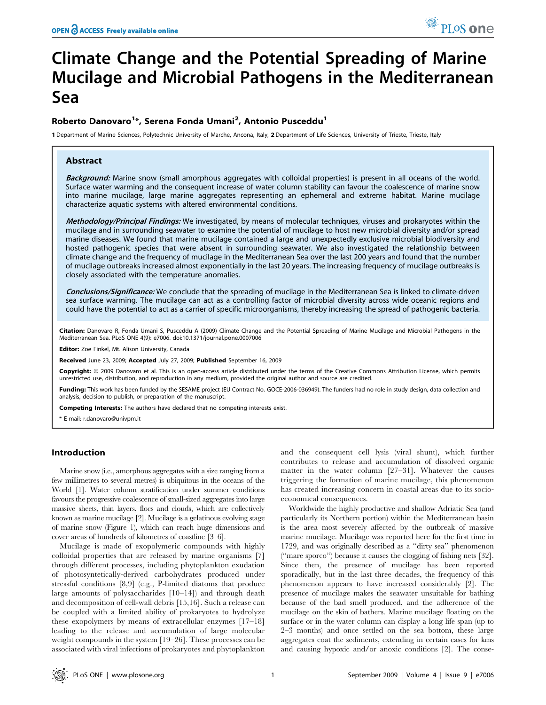# Climate Change and the Potential Spreading of Marine Mucilage and Microbial Pathogens in the Mediterranean Sea

# Roberto Danovaro<sup>1</sup>\*, Serena Fonda Umani<sup>2</sup>, Antonio Pusceddu<sup>1</sup>

1 Department of Marine Sciences, Polytechnic University of Marche, Ancona, Italy, 2 Department of Life Sciences, University of Trieste, Trieste, Italy

# Abstract

Background: Marine snow (small amorphous aggregates with colloidal properties) is present in all oceans of the world. Surface water warming and the consequent increase of water column stability can favour the coalescence of marine snow into marine mucilage, large marine aggregates representing an ephemeral and extreme habitat. Marine mucilage characterize aquatic systems with altered environmental conditions.

Methodology/Principal Findings: We investigated, by means of molecular techniques, viruses and prokaryotes within the mucilage and in surrounding seawater to examine the potential of mucilage to host new microbial diversity and/or spread marine diseases. We found that marine mucilage contained a large and unexpectedly exclusive microbial biodiversity and hosted pathogenic species that were absent in surrounding seawater. We also investigated the relationship between climate change and the frequency of mucilage in the Mediterranean Sea over the last 200 years and found that the number of mucilage outbreaks increased almost exponentially in the last 20 years. The increasing frequency of mucilage outbreaks is closely associated with the temperature anomalies.

Conclusions/Significance: We conclude that the spreading of mucilage in the Mediterranean Sea is linked to climate-driven sea surface warming. The mucilage can act as a controlling factor of microbial diversity across wide oceanic regions and could have the potential to act as a carrier of specific microorganisms, thereby increasing the spread of pathogenic bacteria.

Citation: Danovaro R, Fonda Umani S, Pusceddu A (2009) Climate Change and the Potential Spreading of Marine Mucilage and Microbial Pathogens in the Mediterranean Sea. PLoS ONE 4(9): e7006. doi:10.1371/journal.pone.0007006

Editor: Zoe Finkel, Mt. Alison University, Canada

Received June 23, 2009; Accepted July 27, 2009; Published September 16, 2009

Copyright: © 2009 Danovaro et al. This is an open-access article distributed under the terms of the Creative Commons Attribution License, which permits unrestricted use, distribution, and reproduction in any medium, provided the original author and source are credited.

Funding: This work has been funded by the SESAME project (EU Contract No. GOCE-2006-036949). The funders had no role in study design, data collection and analysis, decision to publish, or preparation of the manuscript.

Competing Interests: The authors have declared that no competing interests exist.

\* E-mail: r.danovaro@univpm.it

# Introduction

Marine snow (i.e., amorphous aggregates with a size ranging from a few millimetres to several metres) is ubiquitous in the oceans of the World [1]. Water column stratification under summer conditions favours the progressive coalescence of small-sized aggregates into large massive sheets, thin layers, flocs and clouds, which are collectively known as marine mucilage [2]. Mucilage is a gelatinous evolving stage of marine snow (Figure 1), which can reach huge dimensions and cover areas of hundreds of kilometres of coastline [3–6].

Mucilage is made of exopolymeric compounds with highly colloidal properties that are released by marine organisms [7] through different processes, including phytoplankton exudation of photosyntetically-derived carbohydrates produced under stressful conditions [8,9] (e.g., P-limited diatoms that produce large amounts of polysaccharides [10–14]) and through death and decomposition of cell-wall debris [15,16]. Such a release can be coupled with a limited ability of prokaryotes to hydrolyze these exopolymers by means of extracellular enzymes [17–18] leading to the release and accumulation of large molecular weight compounds in the system [19–26]. These processes can be associated with viral infections of prokaryotes and phytoplankton and the consequent cell lysis (viral shunt), which further contributes to release and accumulation of dissolved organic matter in the water column [27–31]. Whatever the causes triggering the formation of marine mucilage, this phenomenon has created increasing concern in coastal areas due to its socioeconomical consequences.

Worldwide the highly productive and shallow Adriatic Sea (and particularly its Northern portion) within the Mediterranean basin is the area most severely affected by the outbreak of massive marine mucilage. Mucilage was reported here for the first time in 1729, and was originally described as a ''dirty sea'' phenomenon (''mare sporco'') because it causes the clogging of fishing nets [32]. Since then, the presence of mucilage has been reported sporadically, but in the last three decades, the frequency of this phenomenon appears to have increased considerably [2]. The presence of mucilage makes the seawater unsuitable for bathing because of the bad smell produced, and the adherence of the mucilage on the skin of bathers. Marine mucilage floating on the surface or in the water column can display a long life span (up to 2–3 months) and once settled on the sea bottom, these large aggregates coat the sediments, extending in certain cases for kms and causing hypoxic and/or anoxic conditions [2]. The conse-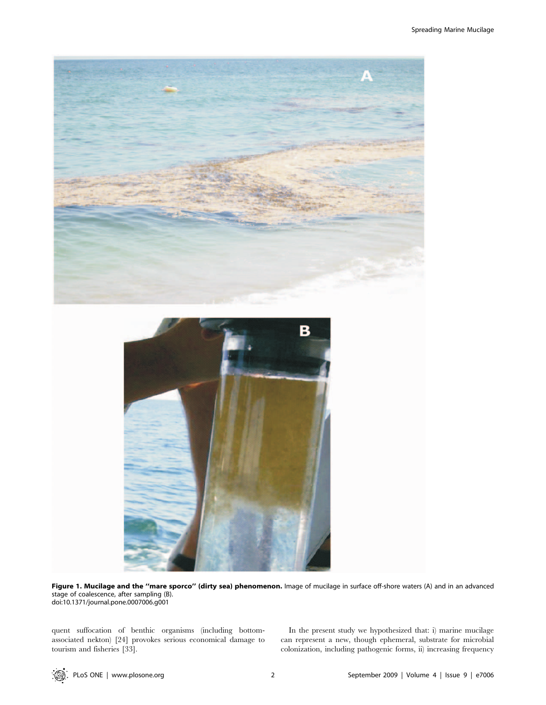

Figure 1. Mucilage and the "mare sporco" (dirty sea) phenomenon. Image of mucilage in surface off-shore waters (A) and in an advanced stage of coalescence, after sampling (B). doi:10.1371/journal.pone.0007006.g001

quent suffocation of benthic organisms (including bottomassociated nekton) [24] provokes serious economical damage to tourism and fisheries [33].

In the present study we hypothesized that: i) marine mucilage can represent a new, though ephemeral, substrate for microbial colonization, including pathogenic forms, ii) increasing frequency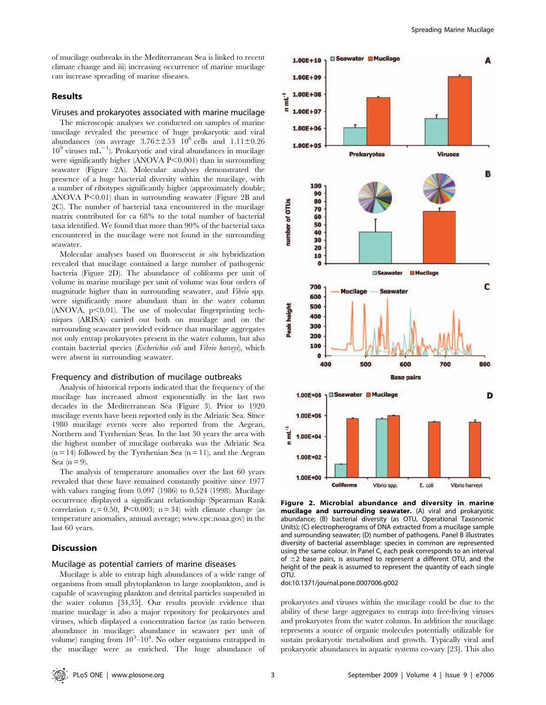of mucilage outbreaks in the Mediterranean Sea is linked to recent climate change and iii) increasing occurrence of marine mucilage can increase spreading of marine diseases.

# Results

#### Viruses and prokaryotes associated with marine mucilage

The microscopic analyses we conducted on samples of marine mucilage revealed the presence of huge prokaryotic and viral abundances (on average  $3.76 \pm 2.53$   $10^6$  cells and  $1.11 \pm 0.26$  $10^9$  viruses mL<sup>-1</sup>). Prokaryotic and viral abundances in mucilage were significantly higher (ANOVA P $\leq$ 0.001) than in surrounding seawater (Figure 2A). Molecular analyses demonstrated the presence of a huge bacterial diversity within the mucilage, with a number of ribotypes significantly higher (approximately double; ANOVA  $P<0.01$ ) than in surrounding seawater (Figure 2B and 2C). The number of bacterial taxa encountered in the mucilage matrix contributed for ca 68% to the total number of bacterial taxa identified. We found that more than 90% of the bacterial taxa encountered in the mucilage were not found in the surrounding seawater.

Molecular analyses based on fluorescent in situ hybridization revealed that mucilage contained a large number of pathogenic bacteria (Figure 2D). The abundance of coliforms per unit of volume in marine mucilage per unit of volume was four orders of magnitude higher than in surrounding seawater, and Vibrio spp. were significantly more abundant than in the water column  $(ANOVA, p<0.01)$ . The use of molecular fingerprinting techniques (ARISA) carried out both on mucilage and on the surrounding seawater provided evidence that mucilage aggregates not only entrap prokaryotes present in the water column, but also contain bacterial species (Escherichia coli and Vibrio harveyi), which were absent in surrounding seawater.

#### Frequency and distribution of mucilage outbreaks

Analysis of historical reports indicated that the frequency of the mucilage has increased almost exponentially in the last two decades in the Mediterranean Sea (Figure 3). Prior to 1920 mucilage events have been reported only in the Adriatic Sea. Since 1980 mucilage events were also reported from the Aegean, Northern and Tyrrhenian Seas. In the last 30 years the area with the highest number of mucilage outbreaks was the Adriatic Sea  $(n = 14)$  followed by the Tyrrhenian Sea  $(n = 11)$ , and the Aegean Sea  $(n=9)$ .

The analysis of temperature anomalies over the last 60 years revealed that these have remained constantly positive since 1977 with values ranging from 0.097 (1986) to 0.524 (1998). Mucilage occurrence displayed a significant relationship (Spearman Rank correlation  $r_s = 0.50$ , P<0.003; n = 34) with climate change (as temperature anomalies, annual average; www.cpc.noaa.gov) in the last 60 years.

# Discussion

# Mucilage as potential carriers of marine diseases

Mucilage is able to entrap high abundances of a wide range of organisms from small phytoplankton to large zooplankton, and is capable of scavenging plankton and detrital particles suspended in the water column [34,35]. Our results provide evidence that marine mucilage is also a major repository for prokaryotes and viruses, which displayed a concentration factor (as ratio between abundance in mucilage: abundance in seawater per unit of volume) ranging from  $10^3 - 10^4$ . No other organisms entrapped in the mucilage were as enriched. The huge abundance of

![](_page_2_Figure_12.jpeg)

Figure 2. Microbial abundance and diversity in marine mucilage and surrounding seawater. (A) viral and prokaryotic abundance; (B) bacterial diversity (as OTU, Operational Taxonomic Units); (C) electropherograms of DNA extracted from a mucilage sample and surrounding seawater; (D) number of pathogens. Panel B illustrates diversity of bacterial assemblage: species in common are represented using the same colour. In Panel C, each peak corresponds to an interval of  $\pm$ 2 base pairs, is assumed to represent a different OTU, and the height of the peak is assumed to represent the quantity of each single OTU.

doi:10.1371/journal.pone.0007006.g002

prokaryotes and viruses within the mucilage could be due to the ability of these large aggregates to entrap into free-living viruses and prokaryotes from the water column. In addition the mucilage represents a source of organic molecules potentially utilizable for sustain prokaryotic metabolism and growth. Typically viral and prokaryotic abundances in aquatic systems co-vary [23]. This also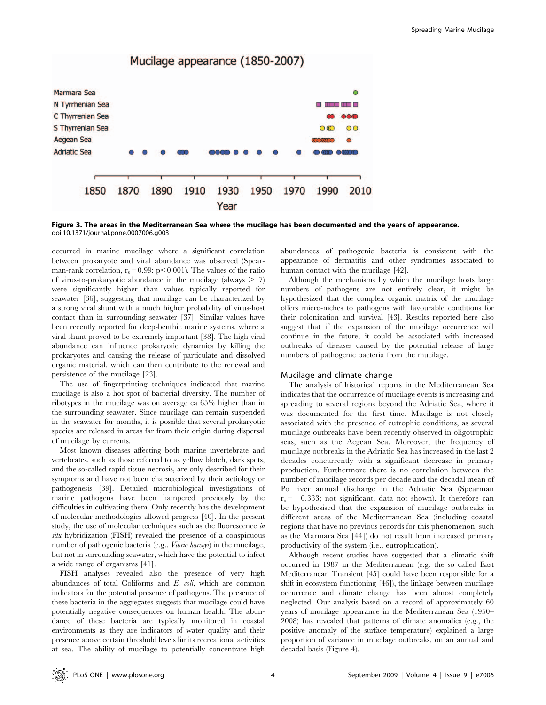![](_page_3_Figure_1.jpeg)

Figure 3. The areas in the Mediterranean Sea where the mucilage has been documented and the years of appearance. doi:10.1371/journal.pone.0007006.g003

occurred in marine mucilage where a significant correlation between prokaryote and viral abundance was observed (Spearman-rank correlation,  $r_s = 0.99$ ; p $\leq 0.001$ ). The values of the ratio of virus-to-prokaryotic abundance in the mucilage (always  $>17$ ) were significantly higher than values typically reported for seawater [36], suggesting that mucilage can be characterized by a strong viral shunt with a much higher probability of virus-host contact than in surrounding seawater [37]. Similar values have been recently reported for deep-benthic marine systems, where a viral shunt proved to be extremely important [38]. The high viral abundance can influence prokaryotic dynamics by killing the prokaryotes and causing the release of particulate and dissolved organic material, which can then contribute to the renewal and persistence of the mucilage [23].

The use of fingerprinting techniques indicated that marine mucilage is also a hot spot of bacterial diversity. The number of ribotypes in the mucilage was on average ca 65% higher than in the surrounding seawater. Since mucilage can remain suspended in the seawater for months, it is possible that several prokaryotic species are released in areas far from their origin during dispersal of mucilage by currents.

Most known diseases affecting both marine invertebrate and vertebrates, such as those referred to as yellow blotch, dark spots, and the so-called rapid tissue necrosis, are only described for their symptoms and have not been characterized by their aetiology or pathogenesis [39]. Detailed microbiological investigations of marine pathogens have been hampered previously by the difficulties in cultivating them. Only recently has the development of molecular methodologies allowed progress [40]. In the present study, the use of molecular techniques such as the fluorescence in situ hybridization (FISH) revealed the presence of a conspicuous number of pathogenic bacteria (e.g., Vibrio harveyi) in the mucilage, but not in surrounding seawater, which have the potential to infect a wide range of organisms [41].

FISH analyses revealed also the presence of very high abundances of total Coliforms and E. coli, which are common indicators for the potential presence of pathogens. The presence of these bacteria in the aggregates suggests that mucilage could have potentially negative consequences on human health. The abundance of these bacteria are typically monitored in coastal environments as they are indicators of water quality and their presence above certain threshold levels limits recreational activities at sea. The ability of mucilage to potentially concentrate high abundances of pathogenic bacteria is consistent with the appearance of dermatitis and other syndromes associated to human contact with the mucilage [42].

Although the mechanisms by which the mucilage hosts large numbers of pathogens are not entirely clear, it might be hypothesized that the complex organic matrix of the mucilage offers micro-niches to pathogens with favourable conditions for their colonization and survival [43]. Results reported here also suggest that if the expansion of the mucilage occurrence will continue in the future, it could be associated with increased outbreaks of diseases caused by the potential release of large numbers of pathogenic bacteria from the mucilage.

#### Mucilage and climate change

The analysis of historical reports in the Mediterranean Sea indicates that the occurrence of mucilage events is increasing and spreading to several regions beyond the Adriatic Sea, where it was documented for the first time. Mucilage is not closely associated with the presence of eutrophic conditions, as several mucilage outbreaks have been recently observed in oligotrophic seas, such as the Aegean Sea. Moreover, the frequency of mucilage outbreaks in the Adriatic Sea has increased in the last 2 decades concurrently with a significant decrease in primary production. Furthermore there is no correlation between the number of mucilage records per decade and the decadal mean of Po river annual discharge in the Adriatic Sea (Spearman  $r_s = -0.333$ ; not significant, data not shown). It therefore can be hypothesised that the expansion of mucilage outbreaks in different areas of the Mediterranean Sea (including coastal regions that have no previous records for this phenomenon, such as the Marmara Sea [44]) do not result from increased primary productivity of the system (i.e., eutrophication).

Although recent studies have suggested that a climatic shift occurred in 1987 in the Mediterranean (e.g. the so called East Mediterranean Transient [45] could have been responsible for a shift in ecosystem functioning [46]), the linkage between mucilage occurrence and climate change has been almost completely neglected. Our analysis based on a record of approximately 60 years of mucilage appearance in the Mediterranean Sea (1950– 2008) has revealed that patterns of climate anomalies (e.g., the positive anomaly of the surface temperature) explained a large proportion of variance in mucilage outbreaks, on an annual and decadal basis (Figure 4).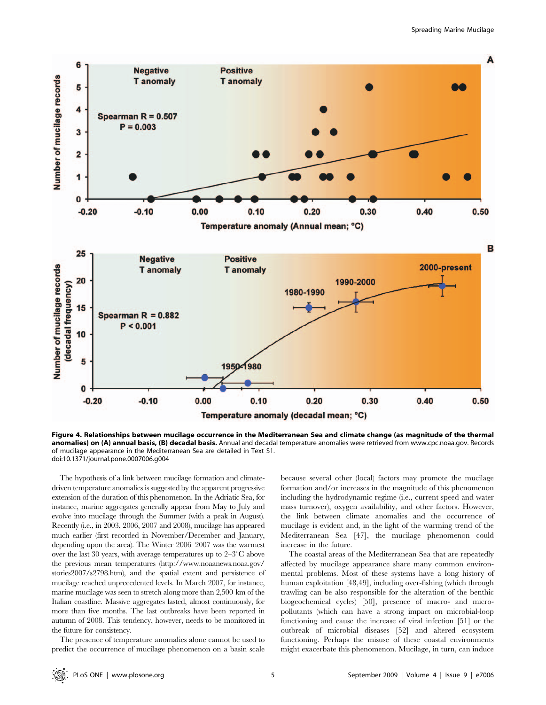![](_page_4_Figure_1.jpeg)

Figure 4. Relationships between mucilage occurrence in the Mediterranean Sea and climate change (as magnitude of the thermal anomalies) on (A) annual basis, (B) decadal basis. Annual and decadal temperature anomalies were retrieved from www.cpc.noaa.gov. Records of mucilage appearance in the Mediterranean Sea are detailed in Text S1. doi:10.1371/journal.pone.0007006.g004

The hypothesis of a link between mucilage formation and climatedriven temperature anomalies is suggested by the apparent progressive extension of the duration of this phenomenon. In the Adriatic Sea, for instance, marine aggregates generally appear from May to July and evolve into mucilage through the Summer (with a peak in August). Recently (i.e., in 2003, 2006, 2007 and 2008), mucilage has appeared much earlier (first recorded in November/December and January, depending upon the area). The Winter 2006–2007 was the warmest over the last 30 years, with average temperatures up to  $2-3^{\circ}\text{C}$  above the previous mean temperatures (http://www.noaanews.noaa.gov/ stories2007/s2798.htm), and the spatial extent and persistence of mucilage reached unprecedented levels. In March 2007, for instance, marine mucilage was seen to stretch along more than 2,500 km of the Italian coastline. Massive aggregates lasted, almost continuously, for more than five months. The last outbreaks have been reported in autumn of 2008. This tendency, however, needs to be monitored in the future for consistency.

The presence of temperature anomalies alone cannot be used to predict the occurrence of mucilage phenomenon on a basin scale because several other (local) factors may promote the mucilage formation and/or increases in the magnitude of this phenomenon including the hydrodynamic regime (i.e., current speed and water mass turnover), oxygen availability, and other factors. However, the link between climate anomalies and the occurrence of mucilage is evident and, in the light of the warming trend of the Mediterranean Sea [47], the mucilage phenomenon could increase in the future.

The coastal areas of the Mediterranean Sea that are repeatedly affected by mucilage appearance share many common environmental problems. Most of these systems have a long history of human exploitation [48,49], including over-fishing (which through trawling can be also responsible for the alteration of the benthic biogeochemical cycles) [50], presence of macro- and micropollutants (which can have a strong impact on microbial-loop functioning and cause the increase of viral infection [51] or the outbreak of microbial diseases [52] and altered ecosystem functioning. Perhaps the misuse of these coastal environments might exacerbate this phenomenon. Mucilage, in turn, can induce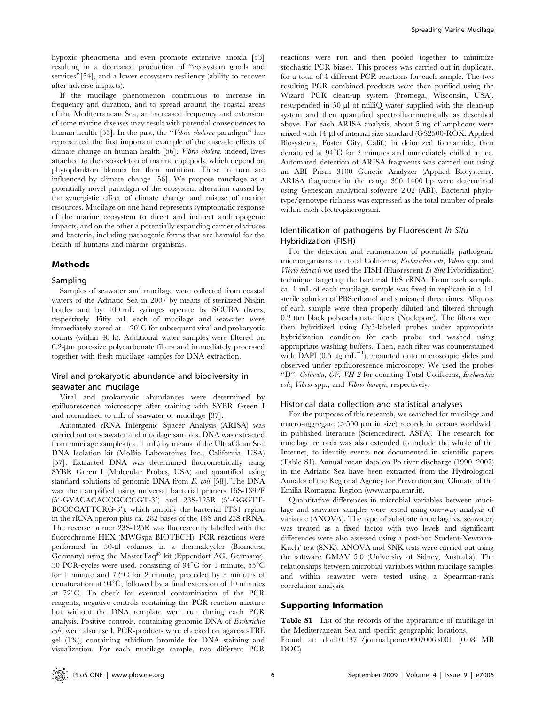hypoxic phenomena and even promote extensive anoxia [53] resulting in a decreased production of ''ecosystem goods and services''[54], and a lower ecosystem resiliency (ability to recover after adverse impacts).

If the mucilage phenomenon continuous to increase in frequency and duration, and to spread around the coastal areas of the Mediterranean Sea, an increased frequency and extension of some marine diseases may result with potential consequences to human health [55]. In the past, the "Vibrio cholerae paradigm" has represented the first important example of the cascade effects of climate change on human health [56]. Vibrio cholera, indeed, lives attached to the exoskeleton of marine copepods, which depend on phytoplankton blooms for their nutrition. These in turn are influenced by climate change [56]. We propose mucilage as a potentially novel paradigm of the ecosystem alteration caused by the synergistic effect of climate change and misuse of marine resources. Mucilage on one hand represents symptomatic response of the marine ecosystem to direct and indirect anthropogenic impacts, and on the other a potentially expanding carrier of viruses and bacteria, including pathogenic forms that are harmful for the health of humans and marine organisms.

#### Methods

#### Sampling

Samples of seawater and mucilage were collected from coastal waters of the Adriatic Sea in 2007 by means of sterilized Niskin bottles and by 100 mL syringes operate by SCUBA divers, respectively. Fifty mL each of mucilage and seawater were immediately stored at  $-20^{\circ}$ C for subsequent viral and prokaryotic counts (within 48 h). Additional water samples were filtered on 0.2-um pore-size polycarbonate filters and immediately processed together with fresh mucilage samples for DNA extraction.

# Viral and prokaryotic abundance and biodiversity in seawater and mucilage

Viral and prokaryotic abundances were determined by epifluorescence microscopy after staining with SYBR Green I and normalised to mL of seawater or mucilage [37].

Automated rRNA Intergenic Spacer Analysis (ARISA) was carried out on seawater and mucilage samples. DNA was extracted from mucilage samples (ca. 1 mL) by means of the UltraClean Soil DNA Isolation kit (MoBio Laboratoires Inc., California, USA) [57]. Extracted DNA was determined fluorometrically using SYBR Green I (Molecular Probes, USA) and quantified using standard solutions of genomic DNA from E. coli [58]. The DNA was then amplified using universal bacterial primers 16S-1392F  $(5'$ -GYACACACCGCCCGT-3') and 23S-125R  $(5'$ -GGGTT-BCCCCATTCRG-3'), which amplify the bacterial ITS1 region in the rRNA operon plus ca. 282 bases of the 16S and 23S rRNA. The reverse primer 23S-125R was fluorescently labelled with the fluorochrome HEX (MWGspa BIOTECH). PCR reactions were performed in 50-µl volumes in a thermalcycler (Biometra, Germany) using the MasterTaq<sup>®</sup> kit (Eppendorf AG, Germany). 30 PCR-cycles were used, consisting of  $94^{\circ}$ C for 1 minute,  $55^{\circ}$ C for 1 minute and  $72^{\circ}$ C for 2 minute, preceded by 3 minutes of denaturation at  $94^{\circ}$ C, followed by a final extension of 10 minutes at  $72^{\circ}$ C. To check for eventual contamination of the PCR reagents, negative controls containing the PCR-reaction mixture but without the DNA template were run during each PCR analysis. Positive controls, containing genomic DNA of Escherichia coli, were also used. PCR-products were checked on agarose-TBE gel (1%), containing ethidium bromide for DNA staining and visualization. For each mucilage sample, two different PCR

reactions were run and then pooled together to minimize stochastic PCR biases. This process was carried out in duplicate, for a total of 4 different PCR reactions for each sample. The two resulting PCR combined products were then purified using the Wizard PCR clean-up system (Promega, Wisconsin, USA), resuspended in 50 µl of milliQ water supplied with the clean-up system and then quantified spectrofluorimetrically as described above. For each ARISA analysis, about 5 ng of amplicons were mixed with 14 µl of internal size standard (GS2500-ROX; Applied Biosystems, Foster City, Calif.) in deionized formamide, then denatured at  $94^{\circ}$ C for 2 minutes and immediately chilled in ice. Automated detection of ARISA fragments was carried out using an ABI Prism 3100 Genetic Analyzer (Applied Biosystems). ARISA fragments in the range 390–1400 bp were determined using Genescan analytical software 2.02 (ABI). Bacterial phylotype/genotype richness was expressed as the total number of peaks within each electropherogram.

# Identification of pathogens by Fluorescent In Situ Hybridization (FISH)

For the detection and enumeration of potentially pathogenic microorganisms (i.e. total Coliforms, Escherichia coli, Vibrio spp. and Vibrio harveyi) we used the FISH (Fluorescent In Situ Hybridization) technique targeting the bacterial 16S rRNA. From each sample, ca. 1 mL of each mucilage sample was fixed in replicate in a 1:1 sterile solution of PBS:ethanol and sonicated three times. Aliquots of each sample were then properly diluted and filtered through  $0.2 \mu m$  black polycarbonate filters (Nuclepore). The filters were then hybridized using Cy3-labeled probes under appropriate hybridization condition for each probe and washed using appropriate washing buffers. Then, each filter was counterstained with DAPI  $(0.5 \mu g \mathrm{mL}^{-1})$ , mounted onto microscopic slides and observed under epifluorescence microscopy. We used the probes ''D'', Colinsitu, GV, VH-2 for counting Total Coliforms, Escherichia coli, Vibrio spp., and Vibrio harveyi, respectively.

#### Historical data collection and statistical analyses

For the purposes of this research, we searched for mucilage and macro-aggregate  $(>500 \mu m)$  in size) records in oceans worldwide in published literature (Sciencedirect, ASFA). The research for mucilage records was also extended to include the whole of the Internet, to identify events not documented in scientific papers (Table S1). Annual mean data on Po river discharge (1990–2007) in the Adriatic Sea have been extracted from the Hydrological Annales of the Regional Agency for Prevention and Climate of the Emilia Romagna Region (www.arpa.emr.it).

Quantitative differences in microbial variables between mucilage and seawater samples were tested using one-way analysis of variance (ANOVA). The type of substrate (mucilage vs. seawater) was treated as a fixed factor with two levels and significant differences were also assessed using a post-hoc Student-Newman-Kuels' test (SNK). ANOVA and SNK tests were carried out using the software GMAV 5.0 (University of Sidney, Australia). The relationships between microbial variables within mucilage samples and within seawater were tested using a Spearman-rank correlation analysis.

### Supporting Information

Table S1 List of the records of the appearance of mucilage in the Mediterranean Sea and specific geographic locations. Found at: doi:10.1371/journal.pone.0007006.s001 (0.08 MB DOC)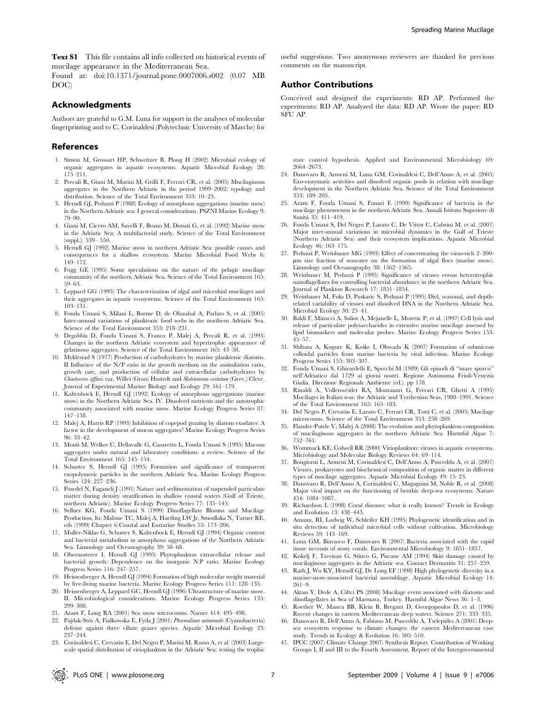Text S1 This file contains all info collected on historical events of mucilage appearance in the Mediterranean Sea.

Found at: doi:10.1371/journal.pone.0007006.s002 (0.07 MB DOC)

#### Acknowledgments

Authors are grateful to G.M. Luna for support in the analyses of molecular fingerprinting and to C. Corinaldesi (Polytechnic University of Marche) for

#### References

- 1. Simon M, Grossart HP, Schweitzer B, Ploug H (2002) Microbial ecology of organic aggregates in aquatic ecosystems. Aquatic Microbial Ecology 28: 175–211.
- 2. Precali R, Giani M, Marini M, Grilli F, Ferrari CR, et al. (2005) Mucilaginous aggregates in the Northern Adriatic in the period 1999–2002: typology and distribution. Science of the Total Environment 353: 10–23.
- 3. Herndl GJ, Peduzzi P (1988) Ecology of amorphous aggregations (marine snow) in the Northern Adriatic sea: I general considerations. PSZNI Marine Ecology 9: 79–90.
- 4. Giani M, Cicero AM, Savelli F, Bruno M, Donati G, et al. (1992) Marine snow in the Adriatic Sea: A multifactorial study. Science of the Total Environment (suppl.): 539– 550.
- 5. Herndl GJ (1992) Marine snow in northern Adriatic Sea: possible causes and consequences for a shallow ecosystem. Marine Microbial Food Webs 6: 149–172.
- 6. Fogg GE (1995) Some speculations on the nature of the pelagic mucilage community of the northern Adriatic Sea. Science of the Total Environment 165: 59–63.
- 7. Leppard GG (1995) The characterization of algal and microbial mucilages and their aggregates in aquatic ecosystems. Science of the Total Environment 165: 103–131.
- 8. Fonda Umani S, Milani L, Borme D, de Olazabal A, Parlato S, et al. (2005) Inter-annual variations of planktonic food webs in the northern Adriatic Sea. Science of the Total Environment 353: 218–231.
- 9. Degobbis D, Fonda Umani S, Franco P, Malej A, Precali R, et al. (1995) Changes in the northern Adriatic ecosystem and hypertrophic appearance of gelatinous aggregates. Science of the Total Environment 165: 43–58.
- 10. Myklestad S (1977) Production of carbohydrates by marine planktonic diatoms. II Influence of the N/P ratio in the growth medium on the assimilation ratio, growth rate, and production of cellular and extracellular carbohydrates by Chaetoceros affinis var. Willei (Gran) Hustedt and Skeletonema costatum (Grev.) Cleve. Journal of Experimental Marine Biology and Ecology 29: 161–179.
- 11. Kaltenbock E, Herndl GJ (1992) Ecology of amorphous aggregations (marine snow) in the Northern Adriatic Sea. IV. Dissolved nutrients and the autotrophic community associated with marine snow. Marine Ecology Progress Series 87: 147–158.
- 12. Malej A, Harris RP (1993) Inhibition of copepod grazing by diatom exudates: A factor in the development of mucus aggregates? Marine Ecology Progress Series 96: 33–42.
- 13. Monti M, Welker C, Dellavalle G, Casaretto L, Fonda Umani S (1995) Mucous aggregates under natural and laboratory conditions: a review. Science of the Total Environment 165: 145–154.
- 14. Schuster S, Herndl GJ (1995) Formation and significance of transparent exopolymeric particles in the northern Adriatic Sea. Marine Ecology Progress Series 124: 227–236.
- 15. Posedel N, Faganeli J (1991) Nature and sedimentation of suspended particulate matter during density stratification in shallow coastal waters (Gulf of Trieste, northern Adriatic). Marine Ecology Progress Series 77: 135–145.
- 16. Sellner KG, Fonda Umani S (1999) Dinoflagellate Blooms and Mucilage Production. In: Malone TC, Malej A, Harding LW Jr, Smodlaka N, Turner RE, eds (1999) Chapter 6.Coastal and Eustarine Studies 55: 173–206.
- 17. Muller-Niklas G, Schuster S, Kaltenbock E, Herndl GJ (1994) Organic content and bacterial metabolism in amorphous aggregations of the Northern Adriatic Sea. Limnology and Oceanography 39: 58–68.
- 18. Obernosterer I, Herndl GJ (1995) Phytoplankton extracellular release and bacterial growth: Dependence on the inorganic N:P ratio. Marine Ecology Progress Series 116: 247–257.
- 19. Heissenberger A, Herndl GJ (1994) Formation of high molecular weight material by free-living marine bacteria. Marine Ecology Progress Series 111: 128–135.
- 20. Heissenberger A, Leppard GC, Herndl GJ (1996) Ultrastructure of marine snow. II. Microbiological considerations. Marine Ecology Progress Series 135: 299–308.
- 21. Azam F, Long RA (2001) Sea snow microcosms. Nature 414: 495–498.
- 22. Pajdak-Stós A, Fialkowska E, Fyda J (2001) Phormidium autumnale (Cyanobacteria) defense against three ciliate grazer species. Aquatic Microbial Ecology 23: 237–244.
- 23. Corinaldesi C, Crevatin E, Del Negro P, Marini M, Russo A, et al. (2003) Largescale spatial distribution of virioplankton in the Adriatic Sea: testing the trophic

useful suggestions. Two anonymous reviewers are thanked for precious comments on the manuscript.

# Author Contributions

Conceived and designed the experiments: RD AP. Performed the experiments: RD AP. Analyzed the data: RD AP. Wrote the paper: RD SFU AP.

state control hypothesis. Applied and Environmental Microbiology 69: 2664–2673.

- 24. Danovaro R, Armeni M, Luna GM, Corinaldesi C, Dell'Anno A, et al. (2005) Exo-enzymatic activities and dissolved organic pools in relation with mucilage development in the Northern Adriatic Sea. Science of the Total Environment 353: 189–203.
- 25. Azam F, Fonda Umani S, Funari E (1999) Significance of bacteria in the mucilage phenomenon in the northern Adriatic Sea. Annali Istituto Superiore di Sanita` 35: 411–419.
- 26. Fonda Umani S, Del Negro P, Larato C, De Vittor C, Cabrini M, et al. (2007) Major inter-annual variations in microbial dynamics in the Gulf of Trieste (Northern Adriatic Sea) and their ecosystem implications. Aquatic Microbial Ecology 46: 163–175.
- 27. Peduzzi P, Weinbauer MG (1993) Effect of concentrating the virus-rich 2–200 mm size fraction of seawater on the formation of algal flocs (marine snow). Limnology and Oceanography 38: 1562–1565.
- 28. Weinbauer M, Peduzzi P (1995) Significance of viruses versus heterotrophic nanoflagellates for controlling bacterial abundance in the northern Adriatic Sea. Journal of Plankton Research 17: 1851–1854.
- 29. Weinbauer M, Fuks D, Puskaric S, Peduzzi P (1995) Diel, seasonal, and depthrelated variability of viruses and dissolved DNA in the Northern Adriatic Sea. Microbial Ecology 30: 25–41.
- 30. Baldi F, Minacci A, Saliot A, Mejanelle L, Mozetic P, et al. (1997) Cell lysis and release of particulate polysaccharides in extensive marine mucilage assessed by lipid biomarkers and molecular probes. Marine Ecology Progress Series 153: 45–57.
- 31. Shibata A, Kogure K, Koike I, Ohwada K (2007) Formation of submicron colloidal particles from marine bacteria by viral infection. Marine Ecology Progress Series 155: 303–307.
- 32. Fonda Umani S, Ghirardelli E, Specchi M (1989) Gli episodi di ''mare sporco'' nell'Adriatico dal 1729 ai giorni nostri. Regione Autonoma Friuli-Venezia Giulia. Direzione Regionale Ambiente (ed.). pp 178.
- 33. Rinaldi A, Vollenweider RA, Montanari G, Ferrari CR, Ghetti A (1995) Mucilages in Italian seas: the Adriatic and Tyrrhenian Seas, 1988–1991. Science of the Total Environment 165: 165–183.
- 34. Del Negro P, Crevatin E, Larato C, Ferrari CR, Totti C, et al. (2005) Mucilage microcosms. Science of the Total Environment 353: 258–269.
- 35. Flander-Putrle V, Malej A (2008) The evolution and phytoplankton composition of mucilaginous aggregates in the northern Adriatic Sea. Harmful Algae 7: 752–761.
- 36. Wommack KE, Colwell RR (2000) Virioplankton: viruses in aquatic ecosystems. Microbiology and Molecular Biology Reviews 64: 69–114.
- 37. Bongiorni L, Armeni M, Corinaldesi C, Dell'Anno A, Pusceddu A, et al. (2007) Viruses, prokaryotes and biochemical composition of organic matter in different types of mucilage aggregates. Aquatic Microbial Ecology 49: 15–23.
- 38. Danovaro R, Dell'Anno A, Corinaldesi C, Magagnini M, Noble R, et al. (2008) Major viral impact on the functioning of benthic deep-sea ecosystems. Nature 454: 1084–1087.
- 39. Richardson L (1998) Coral diseases: what is really known? Trends in Ecology and Evolution 13: 438–443.
- 40. Amann, RI, Ludwig W, Schleifer KH (1995) Phylogenetic identification and in situ detection of individual microbial cells without cultivation. Microbiology Reviews 59: 143–169.
- 41. Luna GM, Biavasco F, Danovaro R (2007) Bacteria associated with the rapid tissue necrosis of stony corals. Environmental Microbiology 9: 1851–1857.
- 42. Kokelj F, Trevisan G, Stinco G, Piscane AM (1994) Skin damage caused by mucilaginous aggregates in the Adriatic sea. Contact Dermatitis 31: 257–259.
- 43. Rath J, Wu KY, Herndl GJ, De Long EF (1998) High phylogenetic diversity in a marine-snow-associated bacterial assemblage. Aquatic Microbial Ecology 14: 261–9.
- 44. Aktan Y, Dede A, Ciftci PS (2008) Mucilage event associated with diatoms and dinoflagellates in Sea of Marmara, Turkey. Harmful Algae News 36: 1–3.
- 45. Roether W, Manca BB, Klein B, Bregant D, Georgopoulos D, et al. (1996) Recent changes in eastern Mediterranean deep waters. Science 271: 333–335.
- 46. Danovaro R, Dell'Anno A, Fabiano M, Pusceddu A, Tselepides A (2001) Deepsea ecosystem response to climate changes: the eastern Mediterranean case study. Trends in Ecology & Evolution 16: 505–510.
- 47. IPCC (2007) Climate Change 2007: Synthesis Report. Contribution of Working Groups I, II and III to the Fourth Assessment. Report of the Intergovernmental